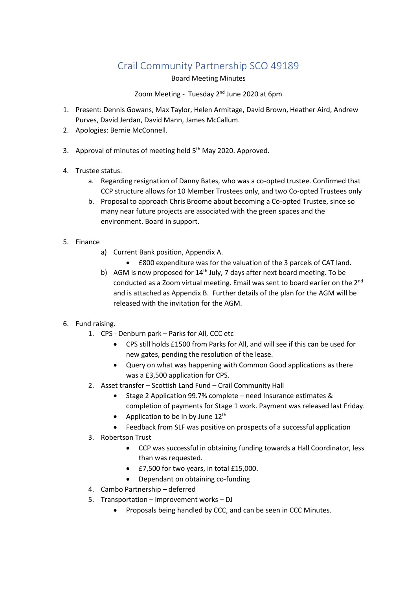# Crail Community Partnership SCO 49189

Board Meeting Minutes

### Zoom Meeting - Tuesday 2<sup>nd</sup> June 2020 at 6pm

- 1. Present: Dennis Gowans, Max Taylor, Helen Armitage, David Brown, Heather Aird, Andrew Purves, David Jerdan, David Mann, James McCallum.
- 2. Apologies: Bernie McConnell.
- 3. Approval of minutes of meeting held 5<sup>th</sup> May 2020. Approved.
- 4. Trustee status.
	- a. Regarding resignation of Danny Bates, who was a co-opted trustee. Confirmed that CCP structure allows for 10 Member Trustees only, and two Co-opted Trustees only
	- b. Proposal to approach Chris Broome about becoming a Co-opted Trustee, since so many near future projects are associated with the green spaces and the environment. Board in support.
- 5. Finance
	- a) Current Bank position, Appendix A.
		- £800 expenditure was for the valuation of the 3 parcels of CAT land.
	- b) AGM is now proposed for  $14<sup>th</sup>$  July, 7 days after next board meeting. To be conducted as a Zoom virtual meeting. Email was sent to board earlier on the 2<sup>nd</sup> and is attached as Appendix B. Further details of the plan for the AGM will be released with the invitation for the AGM.
- 6. Fund raising.
	- 1. CPS Denburn park Parks for All, CCC etc
		- CPS still holds £1500 from Parks for All, and will see if this can be used for new gates, pending the resolution of the lease.
		- Query on what was happening with Common Good applications as there was a £3,500 application for CPS.
	- 2. Asset transfer Scottish Land Fund Crail Community Hall
		- Stage 2 Application 99.7% complete need Insurance estimates & completion of payments for Stage 1 work. Payment was released last Friday.
		- Application to be in by June  $12<sup>th</sup>$
		- Feedback from SLF was positive on prospects of a successful application
	- 3. Robertson Trust
		- CCP was successful in obtaining funding towards a Hall Coordinator, less than was requested.
		- £7,500 for two years, in total £15,000.
		- Dependant on obtaining co-funding
	- 4. Cambo Partnership deferred
	- 5. Transportation improvement works DJ
		- Proposals being handled by CCC, and can be seen in CCC Minutes.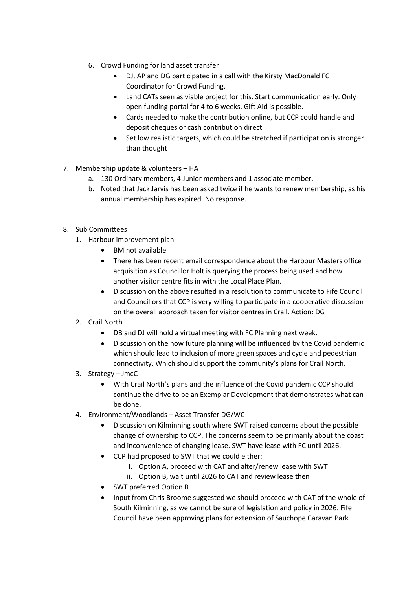- 6. Crowd Funding for land asset transfer
	- DJ, AP and DG participated in a call with the Kirsty MacDonald FC Coordinator for Crowd Funding.
	- Land CATs seen as viable project for this. Start communication early. Only open funding portal for 4 to 6 weeks. Gift Aid is possible.
	- Cards needed to make the contribution online, but CCP could handle and deposit cheques or cash contribution direct
	- Set low realistic targets, which could be stretched if participation is stronger than thought
- 7. Membership update & volunteers HA
	- a. 130 Ordinary members, 4 Junior members and 1 associate member.
	- b. Noted that Jack Jarvis has been asked twice if he wants to renew membership, as his annual membership has expired. No response.
- 8. Sub Committees
	- 1. Harbour improvement plan
		- BM not available
		- There has been recent email correspondence about the Harbour Masters office acquisition as Councillor Holt is querying the process being used and how another visitor centre fits in with the Local Place Plan.
		- Discussion on the above resulted in a resolution to communicate to Fife Council and Councillors that CCP is very willing to participate in a cooperative discussion on the overall approach taken for visitor centres in Crail. Action: DG
	- 2. Crail North
		- DB and DJ will hold a virtual meeting with FC Planning next week.
		- Discussion on the how future planning will be influenced by the Covid pandemic which should lead to inclusion of more green spaces and cycle and pedestrian connectivity. Which should support the community's plans for Crail North.
	- 3. Strategy JmcC
		- With Crail North's plans and the influence of the Covid pandemic CCP should continue the drive to be an Exemplar Development that demonstrates what can be done.
	- 4. Environment/Woodlands Asset Transfer DG/WC
		- Discussion on Kilminning south where SWT raised concerns about the possible change of ownership to CCP. The concerns seem to be primarily about the coast and inconvenience of changing lease. SWT have lease with FC until 2026.
		- CCP had proposed to SWT that we could either:
			- i. Option A, proceed with CAT and alter/renew lease with SWT
			- ii. Option B, wait until 2026 to CAT and review lease then
		- SWT preferred Option B
		- Input from Chris Broome suggested we should proceed with CAT of the whole of South Kilminning, as we cannot be sure of legislation and policy in 2026. Fife Council have been approving plans for extension of Sauchope Caravan Park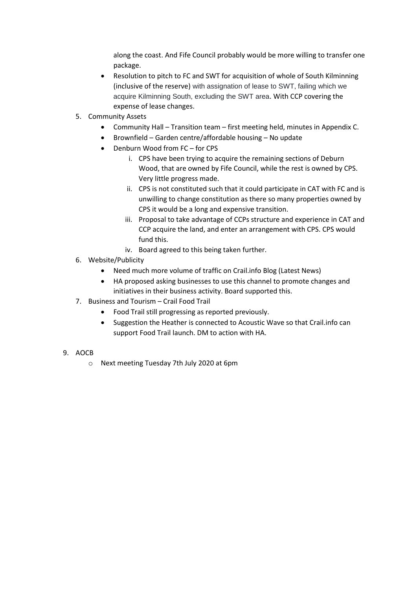along the coast. And Fife Council probably would be more willing to transfer one package.

- Resolution to pitch to FC and SWT for acquisition of whole of South Kilminning (inclusive of the reserve) with assignation of lease to SWT, failing which we acquire Kilminning South, excluding the SWT area. With CCP covering the expense of lease changes.
- 5. Community Assets
	- Community Hall Transition team first meeting held, minutes in Appendix C.
	- Brownfield Garden centre/affordable housing No update
	- Denburn Wood from FC for CPS
		- i. CPS have been trying to acquire the remaining sections of Deburn Wood, that are owned by Fife Council, while the rest is owned by CPS. Very little progress made.
		- ii. CPS is not constituted such that it could participate in CAT with FC and is unwilling to change constitution as there so many properties owned by CPS it would be a long and expensive transition.
		- iii. Proposal to take advantage of CCPs structure and experience in CAT and CCP acquire the land, and enter an arrangement with CPS. CPS would fund this.
		- iv. Board agreed to this being taken further.
- 6. Website/Publicity
	- Need much more volume of traffic on Crail.info Blog (Latest News)
	- HA proposed asking businesses to use this channel to promote changes and initiatives in their business activity. Board supported this.
- 7. Business and Tourism Crail Food Trail
	- Food Trail still progressing as reported previously.
	- Suggestion the Heather is connected to Acoustic Wave so that Crail.info can support Food Trail launch. DM to action with HA.
- 9. AOCB
	- o Next meeting Tuesday 7th July 2020 at 6pm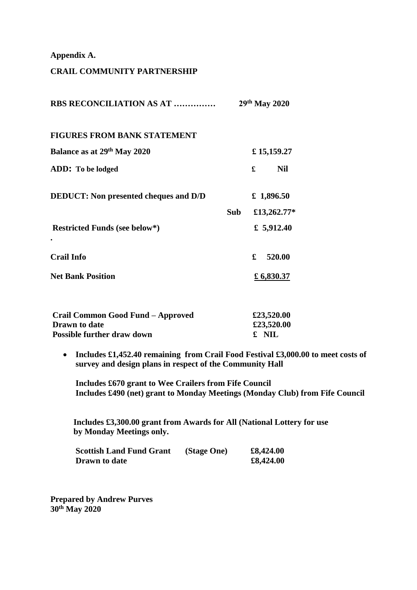### **Appendix A.**

### **CRAIL COMMUNITY PARTNERSHIP**

| RBS RECONCILIATION AS AT                                  | 29th May 2020 |       |              |
|-----------------------------------------------------------|---------------|-------|--------------|
| <b>FIGURES FROM BANK STATEMENT</b>                        |               |       |              |
| Balance as at 29th May 2020                               | £15,159.27    |       |              |
| ADD: To be lodged                                         |               | £     | <b>Nil</b>   |
| <b>DEDUCT:</b> Non presented cheques and D/D              | £ 1,896.50    |       |              |
|                                                           | <b>Sub</b>    |       | £13,262.77*  |
| <b>Restricted Funds (see below*)</b>                      |               |       | £ $5,912.40$ |
| <b>Crail Info</b>                                         |               | £     | 520.00       |
| <b>Net Bank Position</b>                                  |               |       | £ 6,830.37   |
|                                                           |               |       |              |
| Crail Common Good Fund - Approved                         |               |       | £23,520.00   |
| <b>Drawn</b> to date<br><b>Possible further draw down</b> |               | £ NIL | £23,520.00   |

 **Includes £1,452.40 remaining from Crail Food Festival £3,000.00 to meet costs of survey and design plans in respect of the Community Hall** 

**Includes £670 grant to Wee Crailers from Fife Council Includes £490 (net) grant to Monday Meetings (Monday Club) from Fife Council**

 **Includes £3,300.00 grant from Awards for All (National Lottery for use by Monday Meetings only.** 

| <b>Scottish Land Fund Grant</b> | (Stage One) | £8,424.00 |
|---------------------------------|-------------|-----------|
| <b>Drawn</b> to date            |             | £8,424.00 |

**Prepared by Andrew Purves 30th May 2020**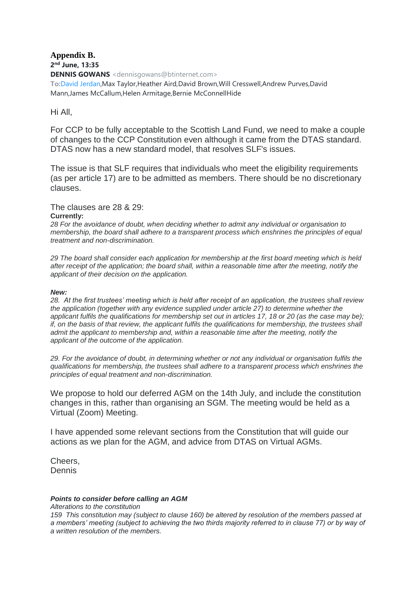## **Appendix B. 2 nd June, 13:35 DENNIS GOWANS** <dennisgowans@btinternet.com>

**To:**David Jerdan,Max Taylor,Heather Aird,David Brown,Will Cresswell,Andrew Purves,David Mann,James McCallum,Helen Armitage,Bernie McConnellHide

## Hi All,

For CCP to be fully acceptable to the Scottish Land Fund, we need to make a couple of changes to the CCP Constitution even although it came from the DTAS standard. DTAS now has a new standard model, that resolves SLF's issues.

The issue is that SLF requires that individuals who meet the eligibility requirements (as per article 17) are to be admitted as members. There should be no discretionary clauses.

The clauses are 28 & 29: **Currently:**

*28 For the avoidance of doubt, when deciding whether to admit any individual or organisation to membership, the board shall adhere to a transparent process which enshrines the principles of equal treatment and non-discrimination.*

*29 The board shall consider each application for membership at the first board meeting which is held after receipt of the application; the board shall, within a reasonable time after the meeting, notify the applicant of their decision on the application.*

### *New:*

*28. At the first trustees' meeting which is held after receipt of an application, the trustees shall review the application (together with any evidence supplied under article 27) to determine whether the applicant fulfils the qualifications for membership set out in articles 17, 18 or 20 (as the case may be); if, on the basis of that review, the applicant fulfils the qualifications for membership, the trustees shall admit the applicant to membership and, within a reasonable time after the meeting, notify the applicant of the outcome of the application.*

*29. For the avoidance of doubt, in determining whether or not any individual or organisation fulfils the qualifications for membership, the trustees shall adhere to a transparent process which enshrines the principles of equal treatment and non-discrimination.*

We propose to hold our deferred AGM on the 14th July, and include the constitution changes in this, rather than organising an SGM. The meeting would be held as a Virtual (Zoom) Meeting.

I have appended some relevant sections from the Constitution that will guide our actions as we plan for the AGM, and advice from DTAS on Virtual AGMs.

Cheers, Dennis

### *Points to consider before calling an AGM*

*Alterations to the constitution*

*159 This constitution may (subject to clause 160) be altered by resolution of the members passed at a members' meeting (subject to achieving the two thirds majority referred to in clause 77) or by way of a written resolution of the members.*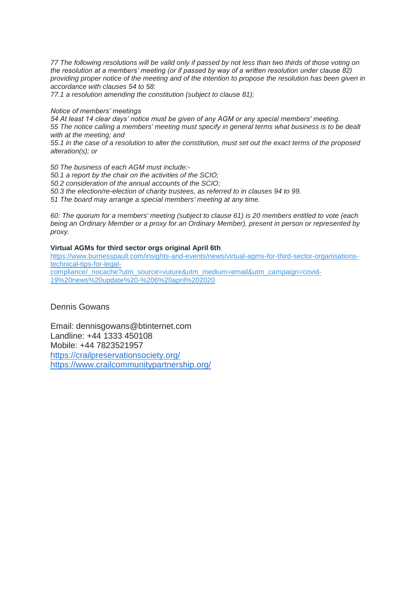*77 The following resolutions will be valid only if passed by not less than two thirds of those voting on the resolution at a members' meeting (or if passed by way of a written resolution under clause 82) providing proper notice of the meeting and of the intention to propose the resolution has been given in accordance with clauses 54 to 58:*

*77.1 a resolution amending the constitution (subject to clause 81);*

#### *Notice of members' meetings*

*54 At least 14 clear days' notice must be given of any AGM or any special members' meeting. 55 The notice calling a members' meeting must specify in general terms what business is to be dealt with at the meeting; and*

*55.1 in the case of a resolution to alter the constitution, must set out the exact terms of the proposed alteration(s); or*

*50 The business of each AGM must include:- 50.1 a report by the chair on the activities of the SCIO; 50.2 consideration of the annual accounts of the SCIO; 50.3 the election/re-election of charity trustees, as referred to in clauses 94 to 99. 51 The board may arrange a special members' meeting at any time.*

*60: The quorum for a members' meeting (subject to clause 61) is 20 members entitled to vote (each being an Ordinary Member or a proxy for an Ordinary Member), present in person or represented by proxy.*

#### **Virtual AGMs for third sector orgs original April 6th**

[https://www.burnesspaull.com/insights-and-events/news/virtual-agms-for-third-sector-organisations](https://www.burnesspaull.com/insights-and-events/news/virtual-agms-for-third-sector-organisations-technical-tips-for-legal-compliance/_nocache?utm_source=vuture&utm_medium=email&utm_campaign=covid-19%20news%20update%20-%206%20april%202020)[technical-tips-for-legal](https://www.burnesspaull.com/insights-and-events/news/virtual-agms-for-third-sector-organisations-technical-tips-for-legal-compliance/_nocache?utm_source=vuture&utm_medium=email&utm_campaign=covid-19%20news%20update%20-%206%20april%202020)[compliance/\\_nocache?utm\\_source=vuture&utm\\_medium=email&utm\\_campaign=covid-](https://www.burnesspaull.com/insights-and-events/news/virtual-agms-for-third-sector-organisations-technical-tips-for-legal-compliance/_nocache?utm_source=vuture&utm_medium=email&utm_campaign=covid-19%20news%20update%20-%206%20april%202020)[19%20news%20update%20-%206%20april%202020](https://www.burnesspaull.com/insights-and-events/news/virtual-agms-for-third-sector-organisations-technical-tips-for-legal-compliance/_nocache?utm_source=vuture&utm_medium=email&utm_campaign=covid-19%20news%20update%20-%206%20april%202020) 

Dennis Gowans

Email: dennisgowans@btinternet.com Landline: +44 1333 450108 Mobile: +44 7823521957 <https://crailpreservationsociety.org/> <https://www.crailcommunitypartnership.org/>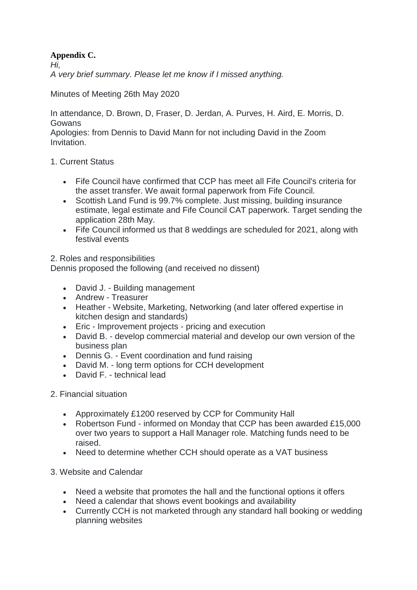## **Appendix C.**

*Hi,*

*A very brief summary. Please let me know if I missed anything.*

Minutes of Meeting 26th May 2020

In attendance, D. Brown, D, Fraser, D. Jerdan, A. Purves, H. Aird, E. Morris, D. Gowans

Apologies: from Dennis to David Mann for not including David in the Zoom Invitation.

## 1. Current Status

- Fife Council have confirmed that CCP has meet all Fife Council's criteria for the asset transfer. We await formal paperwork from Fife Council.
- Scottish Land Fund is 99.7% complete. Just missing, building insurance estimate, legal estimate and Fife Council CAT paperwork. Target sending the application 28th May.
- Fife Council informed us that 8 weddings are scheduled for 2021, along with festival events

## 2. Roles and responsibilities

Dennis proposed the following (and received no dissent)

- David J. Building management
- Andrew Treasurer
- Heather Website, Marketing, Networking (and later offered expertise in kitchen design and standards)
- Eric Improvement projects pricing and execution
- David B. develop commercial material and develop our own version of the business plan
- Dennis G. Event coordination and fund raising
- David M. long term options for CCH development
- David F. technical lead

## 2. Financial situation

- Approximately £1200 reserved by CCP for Community Hall
- Robertson Fund informed on Monday that CCP has been awarded £15,000 over two years to support a Hall Manager role. Matching funds need to be raised.
- Need to determine whether CCH should operate as a VAT business

## 3. Website and Calendar

- Need a website that promotes the hall and the functional options it offers
- Need a calendar that shows event bookings and availability
- Currently CCH is not marketed through any standard hall booking or wedding planning websites